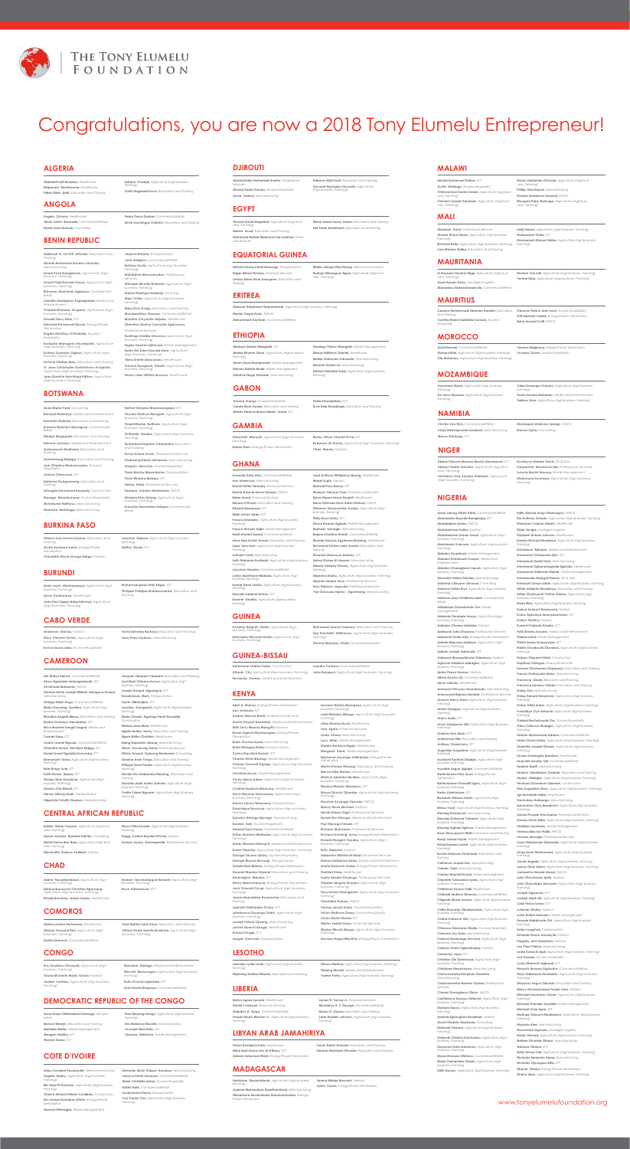

# Congratulations, you are now a 2018 Tony Elumelu Entrepreneur!

**Abasi-Ubong Albert Attah, Commercial Abdulazeez Kayode Bamgbopa,** *ICT* **Abduljabbar Aminu,** *FMCG* **Abdulrahman Dahiru,** *Fashion* **Abdulrahman Usman Liman,** *Agriculture (Agri-business, Farming)* **Abdulwasiu Suleman,** *Agriculture (Agri-business, Farming)* **Abiodun Ayanboye,** Waste Manag **Abiodun Emmanuel Cooper,** *Media and Entertainment* **Abiodun Oluwagbemi Jacob,** *Agriculture (Agribusiness, Farming)* **Abosede Felicia Akinlolu,** *Manufacturing* **Adanma Chinyere Otuonye,** *Consulting* **Adanna Celina Enyi,** *Agriculture (Agri-business, Farming)* **Adannia Jane Chidinma Idam,** *Commercial/ Retail* **Adebimpe Oluwatomisin Oni,** *Waste Management* **Adebola Omolade Amujo,** *Agriculture (Agri-business, Farming)* **Adejoke Oluseun Adeleke,** *Fashion* **Adekunle John Osasona,** *Professional Services* **Adekunle Pedro Abe,** *Energy/Power Generation* **Adeola Mayowa Adeleye,** *Agriculture (Agri-business, Farming)* **Adeolu Joseph Adekunle,** *ICT* **Adesewa Mosopefoluwa Odesanya,** *Fashion* **Agboola Abidemi Adeagbo,** *Agriculture (Agri-business, Farming)* **Ajoke Fisayo Hassan,** *Fashion* **Alfred Anicho Oji,** *Commercial/Retail* **Alimo Atuluku,** *Healthcare* **Amarachi Princess Uwanamodo,** *Manufacturing* **Amavyondi Bigman Danladi,** *Professional Services* **Amechi Henry Otutu,** *Agriculture (Agri-business, Farming)* **Ameh Omagwu,** *Agriculture (Agri-business, Farming)* **Aminu Saidu,** *ICT* **Amos Aziakpono Obi,** *Agriculture (Agri-business, Farming)* **Andrew Paul Abah,** *ICT* **Anietie Ime Ette,** *Education and Training* **Anthony Omachonu,** *ICT* **Augustine Augustine,** *Agriculture (Agri-business, Farming)* **Ayobami Karimot Oladipo,** *Agriculture (Agri-business, Farming)* **Ayodele Segun Agbaje,** *Commercial/Retail* **Bartholomew Felix Iyare,** *Energy/Power Generation* **Bartholomew Okwudili Ugwu,** *Agriculture (Agri-business, Farming)* **Basiru Adetomiwa,** *ICT* **Benjamin Ndams Shehu,** *Agriculture (Agri-business, Farming)* **Bilkisu Yusuf,** *Agriculture (Agri-business, Farming)* **Blessing Emmanuel,** *Manufacturing* **Blessing Ocheche Clement,** *Agriculture (Agri-business, Farming)* **Blessing Oghale Egboye,** *Waste Management* **Boaz Olorunjuwon Watti,** *Education and Training* **Bolaji Joshua Tojola,** *Waste Management* **Bolaji Kazeem Lawal,** *Agriculture (Agri-business, Farming)* **Busola Adesola Omotunde,** *Education and Training* **Catherine Joseph-Eze,** *Manufacturing* **Charles Ezeh,** *Manufacturing* **Charles Nnamdi Emodi**, Waste Man **Charlotte Toluwalase Iyiola,** *Agriculture (Agri-business, Farming)* **Chidimma Favour Odili,** *Healthcare* **Chidozie Ifediora Obionwu,** *Commercial/Retail* **Chigozie Moses Anene,** *Agriculture (Agri-business, Farming)* **Chike Kennedy Obodoechina,** *Agriculture (Agri-business, Farming)* **Chima Clarence Obi,** *Agriculture (Agri-business, Farming)* **Chinonso Desmond Okafor,** *Tourism/Hospitality* **Chinyere Joy Opia,** *Manufacturing* **Chioma Nwakaego Umunna,** *Agriculture (Agri-business, Farming)* **Chioma Vivian Ogbudimkpa,** *Fashion* **Chiwendu Iheyi,** *ICT* **Christian Obi Ejinkeonye,** *Agriculture (Agri-business, Farming)* **Christiana Nwachukwu,** *Manufacturing* **Chukwuemeka Benjamin Nwaehie,** *Manufacturing* **Chukwuemeka Newton Oyiana,** *Professional Services* **Chuma Onwugbenu Obum,** *FMCG* **Confidence Kanayo Odionye,** *Agriculture (Agri-business, Farming)* **Damaris Kajuru,** *Agriculture (Agri-business, Farming)* **Emmanuel Chinwendu Ejim,** *ICT* **Emmanuel Daniel Zam,** *Manufacturing* **Emmanuel Ogheneweghale Egbroko,** *Healthcare* **Emmanuel Ohifemen Elakhe**, Waste Management **Emmanuela Obiageli Ezeme,** *Oil & Gas* **Emmauel Orinya Attah,** *Agriculture (Agri-business, Farming)* **Esther Adejoke Morakinyo,** *Education and Training*

*Farming)*

*business, Farming)*

**Edith Abisola Awgu-Maduagwu,** *FMCG* **Efe Anthony Omudu,** *Agriculture (Agri-business, Farming)* **Ehinomen Casimir Odiahi,** *Healthcare* **Elijah Omigie,** *Haulage/ Logistics* **Elizabeth Bukola Johnson,** *Healthcare* **Emeka Michael Muokwue,** *Agriculture (Agri-business, Farming)* **Emmanuel Ephraim,** *Media and Entertainment*

**Daniela Eghonghon Ewaleifoh,** *Fashion* **David Oladele Olayiwola,** *Consulting* **Deborah Oyenusi,** *Agriculture (Agri-business,*  **Deborah Chidera Ikechukwu,** *Agriculture (Agri-***Desmond Osita Ikerionwu,** *Agriculture (Agri-business, Farming)* **Diana Ihinosen Ofeimun,** *Commercial/Retail* **Ebele Clementina Ohaeri,** *Agriculture (Agri-business, Farming)* **Edith Usman,** *Agriculture (Agri-business, Farming)* **Esther Onyinyechi Chima-Oduko,** *Agriculture (Agri-business, Farming)* **Etuka Elias,** *Agriculture (Agri-business, Farming)* **Eunice Uchechi Nwokocha,** *Fashion* **Evans Oghoreye Iduoriyekemwen,** *ICT* **Evelyn Timothy**, Fashi **Everest Chidozie Zimako,** *ICT* **Felix Emeka Anyiam,** *Media and Entertainment* **Fidelia Iyoha,** Waste Manage **Fidelis Kema Amaonyeze,** *ICT* **Fidelis Onyebuchi Okonkwo,** *Agriculture (Agri-business, Farming)* **Firdaos Olayemi Khidir,** *Construction* **Fopefolu Olutogun,** *Financial Services* **Fortune Chichenma Okparaolu,** *Education and Training* **Francis Olukayode Aluko,** *Manufacturing* **Francisca Alozie,** *Education and Training* **Francisca Kanayo Chiedu,** *Education and Training* **Friday Onu,** *Manufacturing* **Friday Benard Emojevwe,** *Agriculture (Agri-business, Farming)* **Friday Ikhile Imem,** *Agriculture (Agri-business, Farming)* **Funmilayo Oye Arikanki,** *Agriculture (Agri-business, Farming)* **Gabriel Ifechukwude Osu,** *Tourism/Hospitality* **Glory Chibuzor Ukaegbu,** *Agriculture (Agri-business, Farming)* **Hamim Muhammed Adama,** *Commercial/Retail* **Helen Ohuni Isiaka,** *Agriculture (Agri-business, Farming)* **Henrietta Joseph Obasse,** *Agriculture (Agri-business, Farming)* **Hosea Osemegha Ibomhen,** *Healthcare* **Hyacinth Sunday Orji,** *Commercial/Retail* **Ibrahim Nazifi,** *Manufacturing* **Ibrahim Olamilekan Oredola,** *Education and Training* **Ifeanyi Obiegbu,** *Agriculture (Agri-business, Farming)* **Ifeoluwa Oluwatomi Olawore,** *Construction* **Ifiok Augustine Okon,** *Agriculture (Agri-business, Farming)* **Ige Komolafe Atiba,** *Healthcare* **Ikechukwu Ikebuego,** *Manufacturing* **Ikechukwu Chris Ibeabuchi,** *Agriculture (Agri-business, Farming)* **Ikenna Prosper Ahuchama,** *Professional Services* **Ikenna Victor Ejiba,** *Agriculture (Agri-business, Farming)* **Imafidon Ayemere**, Waste Manag **Immaculata Iwu Ndidi,** *FMCG* **Imoudu Idornigie,** *Professional Services* **Isaac Babatunde Olayisade,** *Agriculture (Agri-business, Farming)* **Ishaq Amin Muhammed,** *Agriculture (Agri-business, Farming)* **Jacob Jegede,** *Agriculture (Agri-business, Farming)* **Joana Okon Edem,** *Agriculture (Agri-business, Farming)* **Joemartins Emezie Atueyi,** *FMCG* **John Okechukwu Iphie,** *Fashion* **John Oloruntoba Awoyemi,** *Agriculture (Agri-business, Farming)* **Joseph Ogwuche,** *ICT* **Joseph Abah Ali,** *Agriculture (Agri-business, Farming)* **Jude Festus Iyoha,** *ICT* **Julianah Okafor,** *Fashion* **Julius Rotimi Adeolotu,** *Waste Management* **Kayode Babatunde Oni,** *Agriculture (Agri-business, Farming)* **Kefas Longshak,** *Transportation* **Kehinde Grace Awoseyila,** *Fashion* **Kingsley John Nwankwo,** *Fashion* **Leo Priye Patrick,** *Manufacturing* **Linda Uchechi Ajali,** *Agriculture (Agri-business, Farming)* **Lois Gambo,** *Tourism/Hospitality* **Lucky Eberechi Agbaroji,** *ICT* **Marachi Ihuoma Ogubuike,** *Commercial/Retail* **Mary Daberechi Akeredolu,** *Agriculture (Agri-business, Farming)* **Mayokun Segun Oduoste,** *Education and Training* **Mercy Oluwamodupe Tunde-Yara,** *Fashion* **Michael Ikechukwu Owoh,** *Agriculture (Agri-business, Farming)* **Michael Olumide Ayodele**, Waste Manage **Michael Uche Ikem,** *ICT* **Modupe Olayemi Nnebedum,** *Agriculture (Agri-business, Farming)* **Mojisola Aina,** *Manufacturing* **Moromoke Ogunola,** *Haulage/ Logistics* **Nasiru Ahmad,** *Agriculture (Agri-business, Farming)* **Nathan Olumide Olaniyi,** *Manufacturing* **Ndukwe Obinna,** *ICT* **Nelly Atisaa Tule,** *Agriculture (Agri-business, Farming)* **Nicholas Benjamin Ajana,** *Manufacturing* **Nicholas Ojonugwa Alifa,** *ICT* **Nkechi Ohaka,** *Energy/Power Generation*

**Adou Constant Kouakoutié,** *Telecommunication* **Angela Ezaley,** *Agriculture (Agri-business, Farming)* **Ble Alani N'Guessan,** *Agriculture (Agri-business, Farming)* **Cheick Ahmed Tidiane Coulibaly,** *Construction* **Eric Ismael Amoakon Attahi,** *Energy/Power Generation* **Genesis Ehimegbe**, Waste Manage

**Nneka Ukay,** *Agriculture (Agri-business, Farming)*



## **NIGERIA**

**Adjibayé O. Zul-Kifl Affolabi,** *Education and Training* **Akimbi Mohamed Houdou Akintola,** *Manufacturing*

**Armel Kossi Dangbenon,** *Agriculture (Agribusiness, Farming)*

**Armel Frida Nouatin Dossa,** *Agriculture (Agribusiness, Farming)*

**Blévenec Martinien Agbanou,** *Commercial/ Retail*

**Camille Akotègnon Segnigbinde,** *Media and Entertainment*

**Charbel Mahuna Zougnon,** *Agriculture (Agribusiness, Farming)*

**Donald Davy Ablo,** *ICT* **Edouard Emmanuel Djossa,** *Energy/Power* 

*Generation* **Engelo Géoffroy D'Almeida,** *Tourism/*

*Hospitality* **Eustache Mahugnon Hounkpatin,** *Agriculture (Agri-business, Farming)*

**Eyitayo Azaratou Ogbon,** *Agriculture (Agribusiness, Farming)*

**Fortuné Olaitan Biao,** *Education and Training* **G. Jean-Christophe Gnitchéssou Avogniha,**  *Agriculture (Agri-business, Farming)*

**Jean Quentin Kotchikpa Edikou,** *Agriculture (Agri-business, Farming)*

**Jespere Dinana,** *Transportation* **Jules Adigoun,** *Commercial/Retail* **Kabirou Soulé,** *Agriculture (Agri-business, Farming)* **Mahiédine Moussaoudou,** *Professional Services* **Mêvègni Mireille Mobiale,** *Agriculture (Agribusiness, Farming)*  **Mahuti Rodrigue Badedji,** *Oil & Gas* **Marc Tchibi,** *Agriculture (Agri-business, Farming)* **Marx Elvis Godjo,** *Education and Training* **Moutawakilou Gounou,** *Commercial/Retail* **Murielle Chrystelle Adjaho,** *Healthcare* **Olamikou Eunice Carmelle Agassoussi,**  *Professional Services* **Rawlings Imelda Ahounou,** *Agriculture (Agribusiness, Farming)* **Sagbo Damien Djihouan,** *Waste Management* **Saleh-Ed-Dine Daouda Naro,** *Agriculture (Agri-business, Farming)* **Vèna Arielle Ahouansou,** *Healthcare* **Vincent Bourgeois Gbolin,** *Agriculture (Agribusiness, Farming)* **Zinsou Jean-Wilfrid Houssou,** *Healthcare*

**Andy Mpho Tladi,** *Consulting* **Bernard Makhaya**, Media and Entertainm **Boineelo Thebele,** *Education and Training*

**Busiswa Mcbrian-Mpungose,** *Commercial/ Retail* **Dikabo Mogopodi,** *Education and Training*

**Edmore Jackson,** *Media and Entertainment* **Gobonaone Modisane,** *Education and Training*

**Goitsemang Majaga,** *Education and Training* **Joel Otladisa Mosimanyana,** *Tourism/ Hospitality*

**Joshua Chimusoro,** *ICT*

**Kefentse Gokganwang,** *Education and* 

*Training* **Letsogile Emmanuel Kennedy,** *Construction* **Masego Mosokomane,** *Tourism/Hospitality* **Msindazwe Ndhlovu,** *Manufacturing*

**Arnaud Ikango,** *Tourism/Hospitality* **Carole Ekoh Oyane,** *Education and Training*  $Ménès Nedoumbayel Mbaã□Ssatar, *ICT*$ 

**Nametso Matlhaga,** *Manufacturing*

**Neltah Tshepiso Mosimanegape,** *ICT* **Olorato Mothusi Mongale,** *Agriculture (Agri-*

*business, Farming)*

**Omphitlhetse Botlhole,** *Agriculture (Agri-*

*business, Farming)*

**Onthatile Modise,** *Agriculture (Agri-business,* 

*Farming)*

**Rumbidzai Dephine Chakamba,** *Education* 

*and Training*

**Terna Ortese Achin,** *Professional Services* **Thabisang Daizer Letsamao,** *Manufacturing* **Thapelo Morutwe,** *Tourism/Hospitality* **Thato Batsho Mazwiduma,** *Transportation*

**Thuto Winisha Molapo,** *ICT* **Tjedza Peba,** *Professional Services* **Tshepiso Stanley Modiselele,** *FMCG* **Tshiamo Elvis Toteng,** *Agriculture (Agri-*

*business, Farming)*

**Tuduetso Kereeditse Tebape,** *Commercial/*

*Retail*

**Abdoul Aziz Zorom Zorome,** *Education and Training* **Assita Soulama Soma,** *Energy/Power Generation*

**Claudette Wend-Nonga Sebgo,** *Fashion*

**Anderson Garcia,** *Fashion* **Erico Pinheiro Fortes,** *Agriculture (Agribusiness, Farming)* **Eurico Sousa Lobo,** *Tourism/Hospitality*

**Adele Noudjilembaye,** *Agriculture (Agribusiness, Farming)* **Djekourbouayom Christian Ngarnang,** *Agriculture (Agri-business, Farming)* **Elhadj Boulama Adam Sadou,** *Healthcare*

**Abdoussalam Mohamed,** *Healthcare* **Allaoui Youssouf Ben,** *Agriculture (Agribusiness, Farming)* **Dalila Ahamed,** *Commercial/Retail*

**Eric Pouabou-Dhursold,** *Agriculture (Agribusiness, Farming)* **Gloria Michelle Mady-Goma,** *Fashion* **Jordan Issimba,** *Agriculture (Agri-business, Farming)*

**Abdelatif Lotfi Boulares,** *Healthcare* **Belgacem Berrehouma,** *Healthcare* **Hibat-Allah Saidi,** *Education and Training* **Sofiane Guedjal,** *Agriculture (Agri-business,* 

*Farming)* **Toufik Baghdadi Fouzi,** *Education and Training*

**Angelo Octavio,** *Healthcare* **Jänior Amini Mosende**, Comr **Nydia Iluise Hawala,** *Consulting*

**Pedro Paulo Quintas,** *Commercial/Retail* **Ulrich Loumingou Celestin,** *Education and Training*

## **BENIN REPUBLIC**

## **BOTSWANA**

**BURKINA FASO**

### **BURUNDI**

## **CABO VERDE**

### **CHAD**

### **COMOROS**

**CONGO**

## **ALGERIA**

#### **ANGOLA**

## **CAMEROON**

## **CENTRAL AFRICAN REPUBLIC**

## **COTE D'IVOIRE**

## **DEMOCRATIC REPUBLIC OF THE CONGO**

**Afu Njaiyo Sakwe,** *Commercial/Retail* **Akwo Ngwashie Ashangndowah,** *ICT* **Ali Ahmed Mahamat,** *FMCG* **Antoine Marie Joseph William Atangana Dzama,**  *Manufacturing* **Atanga Ndeh Angu,** *Commercial/Retail* **Bieleu Konnang Aurelien,** *Agriculture (Agri-business, Farming)* **Blandine Angele Messa,** *Education and Training* **Bouba Oumarou Aboubakar,** *ICT* **Brice Maxime Kengni Tsague,** *Media and Entertainment* **Carmel Fopa,** *ICT* **Cedric Leonel Ngoula,** *Commercial/Retail* **Charlotte Horore Bell Epse Bebga,** *ICT* **Daniel Lionel Nguidjoi Essoumba,** *ICT* **Emmanuel Gana,** *Agriculture (Agri-business, Farming)* **Epie Norge Avie,** *ICT* **Faith Muwar Mpara,** *ICT* **Flavien Simo Kouatcha,** *Agriculture (Agri-business, Farming)* **Gaston Che Nkhoh,** *ICT* **Harvey Nkeng Akah,** *Transportation* **Hippolyte Tchoffo Nozawo,** *Manufacturing*

**Baldas Bahar Yacoub,** *Agriculture (Agri-business, Farming)* **Leonel Jocelyn Kpekere Bakiko,** *Consulting* **Martin Koma Ben-Bala,** *Agriculture (Agri-business, Farming)* **Mauricette Kobozo Yadibert,** *Fashion*

**Anna Hope Tshibwabwa Kabongo,** *Transportation* **Benson Wereje,** *Education and Training* **Mathilde Mathy,** *Waste Management* **Meagan Sindika,** *ICT* **Muyere Kasay,** *ICT*

### **DJIBOUTI**

#### **EGYPT**

## **EQUATORIAL GUINEA**

### **ERITREA**

**Abdoulkader Mohamed Anelka,** *Professional Services* **Ahmed Farah Osman,** *Tourism/Hospitality* **Asma Sadeck,** *Manufacturing*

**Ahmed Ismail Megahed,** *Agriculture (Agri-busi-ness, Farming)* **Marwa Soudi,** *Education and Training* **Mohamed Rafaat Mahmoud Aly Soliman,** *Finan-cial Services*

**Delicia Teresa Chele Mansogo,** *Transportation* **Edgar Bekari Nchaso,** *Financial Services* **Leticia Alene Nsue Asangono,** *Education and Training*

**Debesai Gebrihiwet Gebremeskel,** *Agriculture (Agri-business, Farming)* **Menkir Tsegai Andu,** *FMCG* **Mohammed Sraj Kedr,** *Commercial/Retail*

**Abebaw Abebe Mengistie,** *ICT*

**Abebe Beyene Derar,** *Agriculture (Agri-business, Farming)* **Aman Daud Mohammed**, Waste Manage **Deksios Bekele Mulat,** *Waste Management* **Getahun Nega Simeneh,** *Manufacturing*

**Paul Binyangi Nzogu,** *Agriculture (Agri-business, Farming)* **Sivi Malukisa Diawete,** *Manufacturing* **Toussaint Bula Bula,** *ICT* **Vanessa Makiesse,** *Waste Management*

### **ETHIOPIA**

#### **GAMBIA**

**Abel A. Mokua,** *Energy/Power Generation* Ann Embuka, *ICT* **Audrey Nkirote Mwiti,** *Professional Services* **Austin Onyore Nyambok,** *Media and Entertainment* **Beth Terry Wawira Wangithi,** *Fashion* **Brean Ogechi Nyamangare,** *Energy/Power Generation* **Brian Chunza Ayodi,** *Manufacturing* **Brian Miregwa Rioba,** *Transportation* **Calvin Kiprotich Boshal,** *ICT* **Charles Kihia Mwangi,** *Waste Management* **Charles Omondi Ogingo,** *Agriculture (Agri-business, Farming)* **Christine Awuor,** *Waste Management* **Cindy Awino Adem,** *Agriculture (Agri-business, Farming)* **Cynthia Nyatichi Misiocha,** *Healthcare* **Davis Munene Nyamweya,** *Agriculture (Agribusiness, Farming)* **Dennis Simiyu Wanyama,** *Transportation* **Dominique Kavuisya,** *Agriculture (Agri-business, Farming)* **Donatus Ndungu Njoroge,** *Manufacturing* **Doreen Zaki,** *Tourism/Hospitality* **Edward Saro Tsuma,** *Commercial/Retail* **Esther Muthoni Waithaka,** *Agriculture (Agri-business, Farming)*

**Esther Wambui Ndung'U,** *Media and Entertainment* **Evans Okacha,** *Agriculture (Agri-business, Farming)* **George Okumu Obiya,** *Tourism/Hospitality* **George Wayne Murungi,** *Transportation* **Gerald Muli Matolo,** *Energy/Power Generation* **Hannah Wambui Njambi,** *Education and Training* **Hannington Mambo,** *ICT* **Henry Maina Kanyua,** *Energy/Power Generation* **Jack Omondi Oyugi,** *Agriculture (Agri-business, Farming)* **James Nyandieka Nyamache,** *Education and Training* **Japheth Odhiambo Oruko,** *ICT* **Johnbosco Onyango Odek,** *Agriculture (Agribusiness, Farming)* **Joseph Odera Ojwang,** *Manufacturing* **Justine Nyaruri Abuga,** *Healthcare* **Kimani Chege,** *ICT* **Langat Gertrude,** *Transportation*

**Alain Jupin Manirampaye,** *Agriculture (Agribusiness, Farming)* **Anna Karibuhoye,** *Healthcare* **Jean Paul Zappy Ndayishimiye,** *Agriculture (Agri-business, Farming)* **Muhamyangabo Eldy Edgar,** *ICT* **Philippe Philippe Mukamarakiza,** *Education and Training*

> **Laureen Nafula Nyongesa,** *Agriculture (Agri-business, Farming)* **Leah Wambui Mbogo,** *Agriculture (Agri-business, Farming)* **Lilian Mukina Kuria,** *Healthcare* **Lina Egala,** *Financial Services* **Linda Kimeu,** *Manufacturing* **Lucy Mitei,** *Waste Management* **Malele Bonface Ngalu,** *Healthcare* **Margaret Kima,** *Waste Management* **Marianne Anyango Odhiambo,** *Energy/Power Generation* **Martin Kimani Mwangi,** *Education and Training* **Marvin Biko Makau,** *Healthcare* **Metrine Ajiambo Mudibo,** *Agriculture (Agri-business, Farming)* **Monica Wanjiru Wamburu,** *ICT* **Moses Okochi Ojiambo,** *Agriculture (Agri-business, Farming)* **Mourine Anyango Opondo,** *FMCG* **Nancy Nzisa Michael,** *Fashion* **Norah Atieno Ogot,** *Professional Services* **Nurdin Nur Elmoge,** *Media and Entertainment* **Paul Njoroge Kimani,** *ICT* **Richard Muhereza,** *Professional Services* **Richard Ochieng' Arwa,** *Energy/Power Generation* **Ronald Mongeri Gesaka,** *Agriculture (Agribusiness, Farming)* **Ruth Kabochi,** *Fashion* **Sebastian Mithika M'Akairi,** *Financial Services* **Sharon Kabiduka Adisa,** *Media and Entertainment* **Sheila Kemunto Araka,** *Energy/Power Generation* **Sheillah Kima,** *Healthcare* **Sophy Mwale Onyango,** *Professional Services* **Stephen Mugwe Kinyajui,** *Agriculture (Agri-business, Farming)* **Tony Gwaro Nyangaresi,** *Agriculture (Agri-business, Farming)* **Tsholofelo Kamau,** *FMCG* **Vernon Jacob Aseto,** *Tourism/Hospitality* **Victor Midhune Dawa,** *Tourism/Hospitality* **Victor Muhiri Maina,** *ICT* **Walter Yodah Orero,** *Financial Services* **Wesley Micah Abuga,** *Agriculture (Agri-business, Farming)*

**Zachary Kagai Mbuthia,** *Energy/Power Generation*

### **GUINEA**

### **GUINEA-BISSAU**

#### **KENYA**

## **LESOTHO**

#### **LIBERIA**

**Lisemelo Lydia Letsie,** *Agriculture (Agri-business, Farming)* **Mpitseng Andrias Ntsoele,** *Education and Training*

**Berlyn Agnes Sanusie,** *Healthcare* **Daniel T Johnson,** *Financial Services* **Gabriel S.A. Zargo,** *Tourism/Hospitality* **Gonda Morris Wamah Jr.,** *Agriculture (Agri-business, Farming)*

## **LIBYAN ARAB JAMAHIRIYA**

**Hussin Boulqsem Kafo,** *Healthcare* **Nihal Abd Almon'Am Al-Dibany,** *ICT* **Saleem Sulayman Bileid,** *Energy/Power Generation*

## **MADAGASCAR**

**Henintsoa Rasoarimbola,** *Agriculture (Agri-business, Farming)* **Joanina Mamonjisoa Razafindrakoto,** *Manufacturing* **Mbolatiana Ravakiniaina Rakotoarimalala,** *Energy/ Power Generation*

## **MALAWI**

**Alinafe Emmanuel Kaliwo,** *ICT* **Austin Madinga,** *Tourism/Hospitality* **Chimwemwe Daniel Limani,** *Agriculture (Agri-business, Farming)* **Clement Joseph Kandodo,** *Agriculture (Agri-busi-ness, Farming)*

### **MALI**

**Abraham Koné,** *Professional Services* **Aissata Diarra Diarra,** *Agriculture (Agri-business, Farming)* **Bertrand Keita,** *Agriculture (Agri-business, Farming)* **Inna Mariam Sidibe,** *Education and Training*

**Christo Van Wyk,** *Commercial/Retail* **Lahja Ndeshipanda Amakali,** *Manufacturing* **Manou Katanga,** *ICT*

**Abdoul Nasser Maman Bachir Aboubacar,** *ICT* **Abdoul-Kader Issoufou,** *Agriculture (Agri-business, Farming)* **Aminatou Amy Seydou Allakaye,** *Agriculture (Agri-business, Farming)*

## **NAMIBIA**

## **NIGER**

## **MAURITANIA**

### **MAURITIUS**

## **MOROCCO**

## **MOZAMBIQUE**

**Cynthia Marie Gabriella Camara,** *Tourism/ Hospitality*

**Amal Kenzari,** *Commercial/Retail* **Hanane Rifai,** *Agriculture (Agri-business, Farming)* **Ola Barramou,** *Agriculture (Agri-business, Farming)*

**Assumane Manzi,** *Agriculture (Agri-business, Farming)* **De Jesus Rossana,** *Agriculture (Agri-business, Farming)*

**Aissatou Bagnan Diallo,** *Agriculture (Agribusiness, Farming)* **Mamadou Mouctar Diallo,** *Agriculture (Agribusiness, Farming)*

**Almameh Manneh,** *Agriculture (Agri-business, Farming)* **Bakau Dem,** *Energy/Power Generation*

### **GABON**

### **GHANA**

**Amanda Dzifa Atisu,** *Commercial/Retail* **Ann Amenuvor,** *Manufacturing* **Daniel Tetteh Tamatey,** *Financial Services* **Dennis Kwame Danso Nyarko,** *FMCG* **Edem Awusi,** *Financial Services* **Ednora Chickah,** *Education and Training* **Edward Neequaye,** *ICT* **Elijah Amoo Addo,** *ICT* **Francis Amesawu,** *Agriculture (Agri-business, Farming)* **Francis Akosah Adjei,** *Waste Management* **Hanif Ahmed Saaed,** *Commercial/Retail* **Isaac Senu Sesi,** *Agriculture (Agri-business,* 

**Irene Naa Korkoi Armah,** *Education and Training Farming)* **Ishmael Yussif,** *Manufacturing* **Issifu Mahama Kodimah,** *Agriculture (Agri-business, Farming)* **Joycelyn Ganaku,** *Commercial/Retail* **Junior Apollinaire Mabiala,** *Agriculture (Agribusiness, Farming)* **Kamal-Deen Yakub,** *Agriculture (Agri-business, Farming)* **Kenneth Abdulai Nelson,** *ICT* **Kwame Ababio,** *Agriculture (Agri-business, Farming) Training Farming)*

**Patient Romjebbeu,** *ICT* **Urvis Kala Mondanga,** *Education and Training*

**Joachim Kabore,** *Agriculture (Agri-business,* 

*Farming)* **Salifou Kindo,** *ICT*

**Ivone Semedo Barbosa,** *Education and Training* **Joao Pires Cardoso,** *Manufacturing*

> **Adramane Sadibo Dabo,** *Construction* **Alfredo Cã¡,** *Agriculture (Agri-business, Farming)* Fernando Gomes, Media and Entertainment **Ivandro Cardoso,** *Commercial/Retail* **João Banjaqui,** *Agriculture (Agri-business, Farming)*

**El Houssein Alceine Djigo,** *Agriculture (Agri-business, Farming)* **Kone Hassen Desry,** *Haulage/ Logistics* **Mamadou Abderrahmane Ba,** *Commercial/Retail* **Mariam Ciré Sall,** *Agriculture (Agri-business, Farming)* **Yerime Diop,** *Agriculture (Agri-business, Farming)*

**Cassam Muhammad Shameer Ramdin,** *Education and Training* **Francois Patrick Jean Louis,** *Tourism/Hospitality* **Gift Matrane Lubele,** *Energy/Power Generation* **Rene Amand Coffi,** *FMCG*

**Jacques Opepam Opepam,** *Education and Training* **Joel Ekeh Chinazo Achua,** *Agriculture (Agri-business, Farming)* **Joseph Arnaud Nguangue,** *ICT* **Kouatchoua Mark,** *Transportation* **Lionel Mbiandjeu,** *ICT* **Loveline Asongasoh,** *Agriculture (Agri-business, Farming)* **Marie Claude Ngamgo Harel Nouadjie,** *Construction* **Melissa Jane Bime,** *Healthcare* **Ngale Foretia Henry,** *Education and Training* **Ngwa Ndifor Christian,** *Healthcare* **Njang Napoleon Abang,** *Manufacturing* **Oliver Fomunung Sama,** *Financial Services* **Olivier Arnaud Sadoung Noubossie,** *Consulting* **Onorine Anwi Yunga,** *Education and Training* **Philippe Rene Penda,** *Agriculture (Agri-business, Farming)* **Sinclair Eric Embanoho Maneng,** *Education and Training* **Tamutan Asah Azefor Azinwie,** *Agriculture (Agribusiness, Farming)* **Yvette Yulem Ngoram,** *Agriculture (Agri-business, Farming)*

**Laud Anthony Wihibeturo Basing,** *Healthcare* **Mabel Suglo,** *Fashion* **Maxwell Fosu Barnor,** *ICT* **Munaya Yahaya Cisse,** *Professional Services* **Nana Abena Fosua Gyamfi,** *Healthcare* **Nana Ohemaa Ama Antwi-Darkwa,** *FMCG* **Philemon Domonumbo Sumbo,** *Agriculture (Agribusiness, Farming)* **Philip Boye-Doku,** *ICT* **Prince Kwame Agbata,** *Waste Management* **Raphael Samaglo,** *Manufacturing* **Regina Christina Andoh,** *Commercial/Retail* **Rhonda Akosua Agyeiwaa Boateng,** *Healthcare* **Richmond Perkins Sarfo Asante,** *Education and*  **Roxanne Mawunyo Akorley,** *ICT* **Salma Kichan Al-Hassan,** *Manufacturing* **Selasie Gakpey Garvey,** *Agriculture (Agri-business,*  **Sepenica Darko,** *Agriculture (Agri-business, Farming)* **Stephen Selasie Asuo,** *Professional Services* **Tayo Ketoura Legouda,** *Professional Services* **Yaa Owusuaa Opoku - Agyemang,** *Manufacturing* **Mohamed Lamine Camara,** *Education and Training* **Saa Timothã© Millimono,** *Agriculture (Agri-business, Farming)* **Thierno Mahajou Diallo,** *Tourism/Hospitality*

**Nixon Vital Amoda,** *Agriculture (Agri-business,* 

*Farming)*

**Peggy Justicia Boyaka N'Tcha,** *Fashion* **Sydney Aymar Deckepande,** *Professional Services*

**Herbert Djomtchaigué Bamaré,** *Agriculture (Agribusiness, Farming)* **Rock Klahadoum,** *ICT*

**Said Djaffar Said Omar,** *Education and Training* **Sittina Farate Hanifa Ibrahima,** *Agriculture (Agri-*

*business, Farming)*

**Hemman Ulrich Thibaut Kouakou,** *Manufacturing* **Jessyca Esther Houenou,** *Commercial/Retail* **Marie Christelle Aloka,** *Tourism/Hospitality* **Rafikh Ballo,** *Commercial/Retail* **Souleymane Diarra,** *Transportation* **Yao Franck Yao,** *Agriculture (Agri-business, Farming)*

**Mariame Diefaga,** *Media and Entertainment*

**Merveil Mavoungou,** *Agriculture (Agri-business, Farming)* **Rufin Ovoula Lepembe,** *ICT* **Sorel Elvard Kimposso,** *Commercial/Retail*

**Habone Abdi Farid,** *Education and Training* **Houmed Hamadou Houssein,** *Agriculture (Agri-business, Farming)*

> **Nehal Adam Fawzy Adam,** *Education and Training* **Saif Tarek Abdelrasol,** *Education and Training*

# **Matias Abogo Mba Nzang,** *Telecommunication* **Rodrigo Mbengono Ngua,** *Agriculture (Agri-business, Farming)*

**Honelign Tilahun Mengistie,** *Waste Management* **Meaza Estifanos Gebriel,** *Healthcare* **Melkie Gebeyaw Admassie,** *Manufacturing* **Meseret Assefa Ali,** *Manufacturing* **Setitual Debalkie Adal,** *Agriculture (Agri-business, Farming)*

**Banky Oliver Charles N'Jie,** *ICT*

**Bubacarr Jb Touray,** *Agriculture (Agri-business, Farming)* **Chan Mendy,** *Fashion*

> **Nthota Matlosa,** *Agriculture (Agri-business, Farming)* **Tholang Mosisili,** *Media and Entertainment* **Yoleke Pathy,** *Agriculture (Agri-business, Farming)*

**James D. Tarnue Jr.,** *Financial Services* **Michaelyn E. Z. George,** *Commercial/Retail* **Moses O. Davies,** *Education and Training* **Saah Hendrix Johnson,** *Agriculture (Agri-business, Farming)*

**Suruor Bashir Ataweel,** *Education and Training* **Zakaria Abdulaziz Ghawila,** *Education and Training*

**Samira Mihaja Moumini,** *Fashion* **Sylvia Paulot,** *Energy/Power Generation*

**Marko Kaidokele Chiumia,** *Agriculture (Agri-busi-ness, Farming)* **Phillip Kanchiputu,** *Manufacturing* **Roselyn Kambewu Kanyinji,** *FMCG* **Wongani Daisy Nyirongo,** *Agriculture (Agri-busi-ness, Farming)*

#### **Ladji Fainke,** *Agriculture (Agri-business, Farming)* **Mahamane Timbo**, *ICT* **Mouhamed Ahmed Sidibe,** *Agriculture (Agri-business, Farming)*

**Yassine Maghnouj,** *Energy/Power Generation* **Youness Ouazri,** *Tourism/Hospitality*

**Júbia Domingos Uchavo,** *Agriculture (Agri-business, Farming)* Pedro Sansão Muiambo, Media and Entertainment **Tadious Jimu,** *Agriculture (Agri-business, Farming)*

**Mutangeni Atshirero Iipinge,** *FMCG* **Nerson Tjelos,** *Consulting*

**Boubacar Habibe Touré,** *Oil & Gas* **Gamatche Moumouni Ide,** *Professional Services* **Issoufa Bachir Bounou,** *Waste Management* **Maimouna Soumaye,** *Agriculture (Agri-business, Farming)*